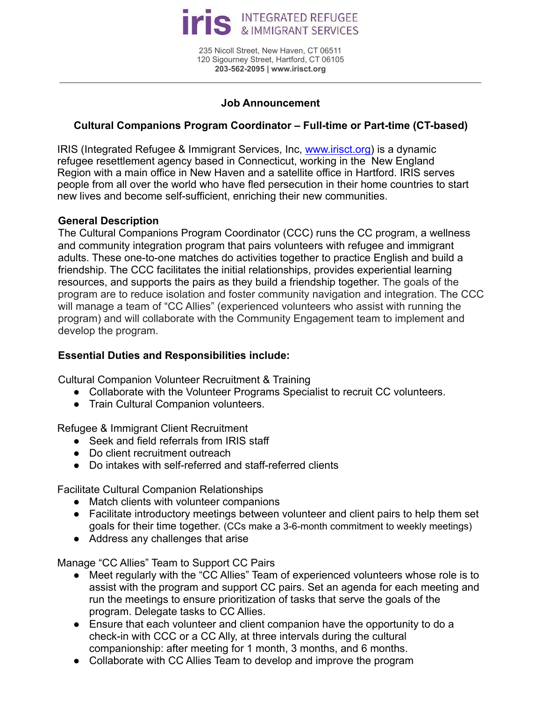

235 Nicoll Street, New Haven, CT 06511 120 Sigourney Street, Hartford, CT 06105 **203-562-2095 | www.irisct.org**

#### **Job Announcement**

# **Cultural Companions Program Coordinator – Full-time or Part-time (CT-based)**

IRIS (Integrated Refugee & Immigrant Services, Inc, www.irisct.org) is a dynamic refugee resettlement agency based in Connecticut, working in the New England Region with a main office in New Haven and a satellite office in Hartford. IRIS serves people from all over the world who have fled persecution in their home countries to start new lives and become self-sufficient, enriching their new communities.

#### **General Description**

The Cultural Companions Program Coordinator (CCC) runs the CC program, a wellness and community integration program that pairs volunteers with refugee and immigrant adults. These one-to-one matches do activities together to practice English and build a friendship. The CCC facilitates the initial relationships, provides experiential learning resources, and supports the pairs as they build a friendship together. The goals of the program are to reduce isolation and foster community navigation and integration. The CCC will manage a team of "CC Allies" (experienced volunteers who assist with running the program) and will collaborate with the Community Engagement team to implement and develop the program.

## **Essential Duties and Responsibilities include:**

Cultural Companion Volunteer Recruitment & Training

- Collaborate with the Volunteer Programs Specialist to recruit CC volunteers.
- Train Cultural Companion volunteers.

Refugee & Immigrant Client Recruitment

- Seek and field referrals from IRIS staff
- Do client recruitment outreach
- Do intakes with self-referred and staff-referred clients

Facilitate Cultural Companion Relationships

- Match clients with volunteer companions
- Facilitate introductory meetings between volunteer and client pairs to help them set goals for their time together. (CCs make a 3-6-month commitment to weekly meetings)
- Address any challenges that arise

Manage "CC Allies" Team to Support CC Pairs

- Meet regularly with the "CC Allies" Team of experienced volunteers whose role is to assist with the program and support CC pairs. Set an agenda for each meeting and run the meetings to ensure prioritization of tasks that serve the goals of the program. Delegate tasks to CC Allies.
- Ensure that each volunteer and client companion have the opportunity to do a check-in with CCC or a CC Ally, at three intervals during the cultural companionship: after meeting for 1 month, 3 months, and 6 months.
- Collaborate with CC Allies Team to develop and improve the program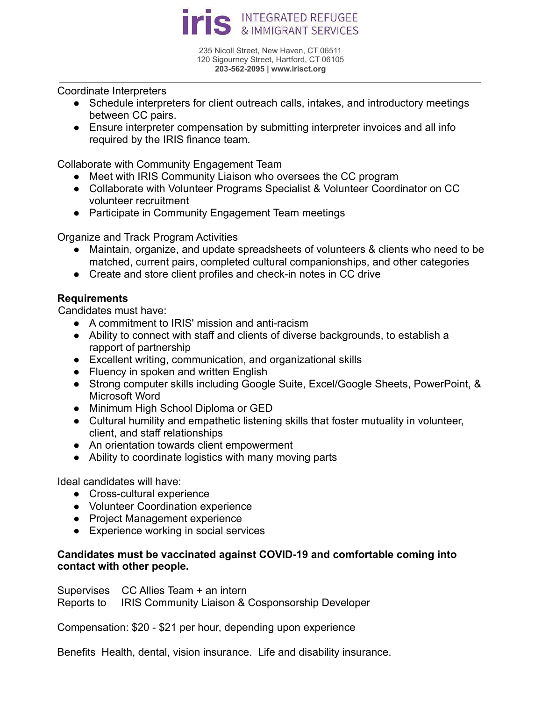

235 Nicoll Street, New Haven, CT 06511 120 Sigourney Street, Hartford, CT 06105 **203-562-2095 | www.irisct.org**

Coordinate Interpreters

- Schedule interpreters for client outreach calls, intakes, and introductory meetings between CC pairs.
- Ensure interpreter compensation by submitting interpreter invoices and all info required by the IRIS finance team.

Collaborate with Community Engagement Team

- Meet with IRIS Community Liaison who oversees the CC program
- Collaborate with Volunteer Programs Specialist & Volunteer Coordinator on CC volunteer recruitment
- Participate in Community Engagement Team meetings

Organize and Track Program Activities

- Maintain, organize, and update spreadsheets of volunteers & clients who need to be matched, current pairs, completed cultural companionships, and other categories
- Create and store client profiles and check-in notes in CC drive

## **Requirements**

Candidates must have:

- A commitment to IRIS' mission and anti-racism
- Ability to connect with staff and clients of diverse backgrounds, to establish a rapport of partnership
- Excellent writing, communication, and organizational skills
- Fluency in spoken and written English
- Strong computer skills including Google Suite, Excel/Google Sheets, PowerPoint, & Microsoft Word
- Minimum High School Diploma or GED
- Cultural humility and empathetic listening skills that foster mutuality in volunteer, client, and staff relationships
- An orientation towards client empowerment
- Ability to coordinate logistics with many moving parts

Ideal candidates will have:

- Cross-cultural experience
- Volunteer Coordination experience
- Project Management experience
- Experience working in social services

## **Candidates must be vaccinated against COVID-19 and comfortable coming into contact with other people.**

Supervises CC Allies Team + an intern

Reports to IRIS Community Liaison & Cosponsorship Developer

Compensation: \$20 - \$21 per hour, depending upon experience

Benefits Health, dental, vision insurance. Life and disability insurance.